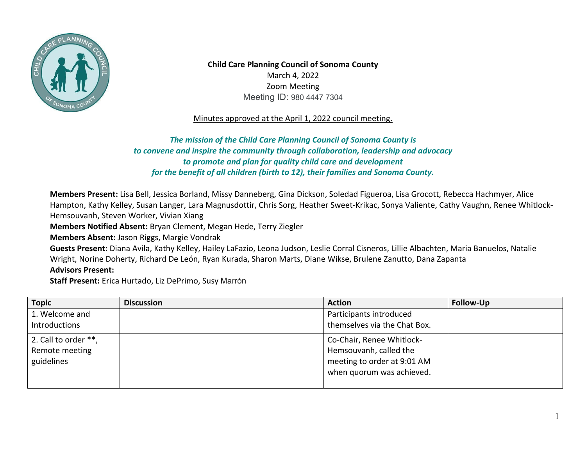

**Child Care Planning Council of Sonoma County**  March 4, 2022 Zoom Meeting Meeting ID: 980 4447 7304

Minutes approved at the April 1, 2022 council meeting.

## *to convene and inspire the community through collaboration, leadership and advocacy The mission of the Child Care Planning Council of Sonoma County is to promote and plan for quality child care and development for the benefit of all children (birth to 12), their families and Sonoma County.*

**Members Present:** Lisa Bell, Jessica Borland, Missy Danneberg, Gina Dickson, Soledad Figueroa, Lisa Grocott, Rebecca Hachmyer, Alice Hampton, Kathy Kelley, Susan Langer, Lara Magnusdottir, Chris Sorg, Heather Sweet-Krikac, Sonya Valiente, Cathy Vaughn, Renee Whitlock-Hemsouvanh, Steven Worker, Vivian Xiang

**Members Notified Absent:** Bryan Clement, Megan Hede, Terry Ziegler

**Members Absent:** Jason Riggs, Margie Vondrak

**Guests Present:** Diana Avila, Kathy Kelley, Hailey LaFazio, Leona Judson, Leslie Corral Cisneros, Lillie Albachten, Maria Banuelos, Natalie Wright, Norine Doherty, Richard De León, Ryan Kurada, Sharon Marts, Diane Wikse, Brulene Zanutto, Dana Zapanta **Advisors Present:** 

**Staff Present:** Erica Hurtado, Liz DePrimo, Susy Marrón

| <b>Topic</b>                                         | <b>Discussion</b> | <b>Action</b>                                                                                                   | <b>Follow-Up</b> |
|------------------------------------------------------|-------------------|-----------------------------------------------------------------------------------------------------------------|------------------|
| 1. Welcome and                                       |                   | Participants introduced                                                                                         |                  |
| Introductions                                        |                   | themselves via the Chat Box.                                                                                    |                  |
| 2. Call to order **,<br>Remote meeting<br>guidelines |                   | Co-Chair, Renee Whitlock-<br>Hemsouvanh, called the<br>meeting to order at 9:01 AM<br>when quorum was achieved. |                  |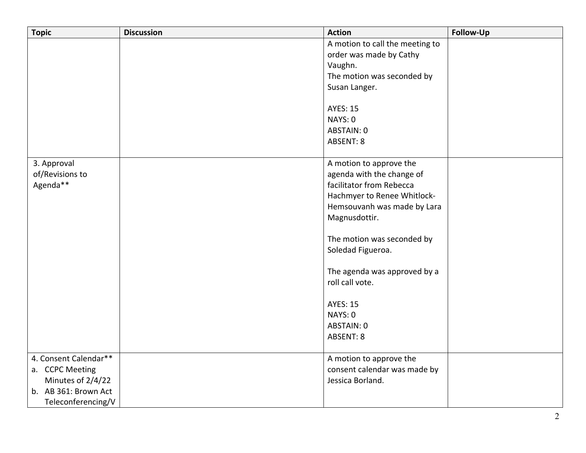| <b>Topic</b>          | <b>Discussion</b> | <b>Action</b>                   | Follow-Up |
|-----------------------|-------------------|---------------------------------|-----------|
|                       |                   | A motion to call the meeting to |           |
|                       |                   | order was made by Cathy         |           |
|                       |                   | Vaughn.                         |           |
|                       |                   | The motion was seconded by      |           |
|                       |                   | Susan Langer.                   |           |
|                       |                   | <b>AYES: 15</b>                 |           |
|                       |                   | NAYS: 0                         |           |
|                       |                   | ABSTAIN: 0                      |           |
|                       |                   | <b>ABSENT: 8</b>                |           |
|                       |                   |                                 |           |
| 3. Approval           |                   | A motion to approve the         |           |
| of/Revisions to       |                   | agenda with the change of       |           |
| Agenda**              |                   | facilitator from Rebecca        |           |
|                       |                   | Hachmyer to Renee Whitlock-     |           |
|                       |                   | Hemsouvanh was made by Lara     |           |
|                       |                   | Magnusdottir.                   |           |
|                       |                   | The motion was seconded by      |           |
|                       |                   | Soledad Figueroa.               |           |
|                       |                   |                                 |           |
|                       |                   | The agenda was approved by a    |           |
|                       |                   | roll call vote.                 |           |
|                       |                   |                                 |           |
|                       |                   | <b>AYES: 15</b>                 |           |
|                       |                   | NAYS: 0                         |           |
|                       |                   | ABSTAIN: 0                      |           |
|                       |                   | <b>ABSENT: 8</b>                |           |
| 4. Consent Calendar** |                   | A motion to approve the         |           |
| a. CCPC Meeting       |                   | consent calendar was made by    |           |
| Minutes of 2/4/22     |                   | Jessica Borland.                |           |
| b. AB 361: Brown Act  |                   |                                 |           |
| Teleconferencing/V    |                   |                                 |           |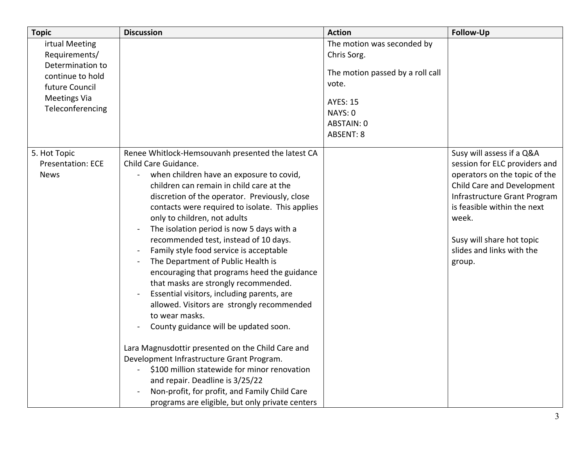| <b>Topic</b>             | <b>Discussion</b>                                                                                                                                                                                                                                                                                                                                                                                                                                                                                                                                                                                                                                                                                                                                                                                                                                                                                                                                              | <b>Action</b>                      | Follow-Up                                                                                      |
|--------------------------|----------------------------------------------------------------------------------------------------------------------------------------------------------------------------------------------------------------------------------------------------------------------------------------------------------------------------------------------------------------------------------------------------------------------------------------------------------------------------------------------------------------------------------------------------------------------------------------------------------------------------------------------------------------------------------------------------------------------------------------------------------------------------------------------------------------------------------------------------------------------------------------------------------------------------------------------------------------|------------------------------------|------------------------------------------------------------------------------------------------|
| irtual Meeting           |                                                                                                                                                                                                                                                                                                                                                                                                                                                                                                                                                                                                                                                                                                                                                                                                                                                                                                                                                                | The motion was seconded by         |                                                                                                |
| Requirements/            |                                                                                                                                                                                                                                                                                                                                                                                                                                                                                                                                                                                                                                                                                                                                                                                                                                                                                                                                                                | Chris Sorg.                        |                                                                                                |
| Determination to         |                                                                                                                                                                                                                                                                                                                                                                                                                                                                                                                                                                                                                                                                                                                                                                                                                                                                                                                                                                |                                    |                                                                                                |
| continue to hold         |                                                                                                                                                                                                                                                                                                                                                                                                                                                                                                                                                                                                                                                                                                                                                                                                                                                                                                                                                                | The motion passed by a roll call   |                                                                                                |
| future Council           |                                                                                                                                                                                                                                                                                                                                                                                                                                                                                                                                                                                                                                                                                                                                                                                                                                                                                                                                                                | vote.                              |                                                                                                |
| <b>Meetings Via</b>      |                                                                                                                                                                                                                                                                                                                                                                                                                                                                                                                                                                                                                                                                                                                                                                                                                                                                                                                                                                | <b>AYES: 15</b>                    |                                                                                                |
| Teleconferencing         |                                                                                                                                                                                                                                                                                                                                                                                                                                                                                                                                                                                                                                                                                                                                                                                                                                                                                                                                                                |                                    |                                                                                                |
|                          |                                                                                                                                                                                                                                                                                                                                                                                                                                                                                                                                                                                                                                                                                                                                                                                                                                                                                                                                                                |                                    |                                                                                                |
|                          |                                                                                                                                                                                                                                                                                                                                                                                                                                                                                                                                                                                                                                                                                                                                                                                                                                                                                                                                                                |                                    |                                                                                                |
|                          |                                                                                                                                                                                                                                                                                                                                                                                                                                                                                                                                                                                                                                                                                                                                                                                                                                                                                                                                                                |                                    |                                                                                                |
| 5. Hot Topic             | Renee Whitlock-Hemsouvanh presented the latest CA                                                                                                                                                                                                                                                                                                                                                                                                                                                                                                                                                                                                                                                                                                                                                                                                                                                                                                              |                                    | Susy will assess if a Q&A                                                                      |
| <b>Presentation: ECE</b> |                                                                                                                                                                                                                                                                                                                                                                                                                                                                                                                                                                                                                                                                                                                                                                                                                                                                                                                                                                |                                    | session for ELC providers and                                                                  |
| <b>News</b>              |                                                                                                                                                                                                                                                                                                                                                                                                                                                                                                                                                                                                                                                                                                                                                                                                                                                                                                                                                                |                                    | operators on the topic of the                                                                  |
|                          |                                                                                                                                                                                                                                                                                                                                                                                                                                                                                                                                                                                                                                                                                                                                                                                                                                                                                                                                                                |                                    | Child Care and Development                                                                     |
|                          |                                                                                                                                                                                                                                                                                                                                                                                                                                                                                                                                                                                                                                                                                                                                                                                                                                                                                                                                                                |                                    | Infrastructure Grant Program                                                                   |
|                          |                                                                                                                                                                                                                                                                                                                                                                                                                                                                                                                                                                                                                                                                                                                                                                                                                                                                                                                                                                |                                    |                                                                                                |
|                          |                                                                                                                                                                                                                                                                                                                                                                                                                                                                                                                                                                                                                                                                                                                                                                                                                                                                                                                                                                |                                    |                                                                                                |
|                          |                                                                                                                                                                                                                                                                                                                                                                                                                                                                                                                                                                                                                                                                                                                                                                                                                                                                                                                                                                |                                    |                                                                                                |
|                          |                                                                                                                                                                                                                                                                                                                                                                                                                                                                                                                                                                                                                                                                                                                                                                                                                                                                                                                                                                |                                    |                                                                                                |
|                          |                                                                                                                                                                                                                                                                                                                                                                                                                                                                                                                                                                                                                                                                                                                                                                                                                                                                                                                                                                |                                    |                                                                                                |
|                          |                                                                                                                                                                                                                                                                                                                                                                                                                                                                                                                                                                                                                                                                                                                                                                                                                                                                                                                                                                |                                    | group.                                                                                         |
|                          |                                                                                                                                                                                                                                                                                                                                                                                                                                                                                                                                                                                                                                                                                                                                                                                                                                                                                                                                                                |                                    |                                                                                                |
|                          |                                                                                                                                                                                                                                                                                                                                                                                                                                                                                                                                                                                                                                                                                                                                                                                                                                                                                                                                                                |                                    |                                                                                                |
|                          |                                                                                                                                                                                                                                                                                                                                                                                                                                                                                                                                                                                                                                                                                                                                                                                                                                                                                                                                                                |                                    |                                                                                                |
|                          |                                                                                                                                                                                                                                                                                                                                                                                                                                                                                                                                                                                                                                                                                                                                                                                                                                                                                                                                                                |                                    |                                                                                                |
|                          |                                                                                                                                                                                                                                                                                                                                                                                                                                                                                                                                                                                                                                                                                                                                                                                                                                                                                                                                                                |                                    |                                                                                                |
|                          |                                                                                                                                                                                                                                                                                                                                                                                                                                                                                                                                                                                                                                                                                                                                                                                                                                                                                                                                                                |                                    |                                                                                                |
|                          |                                                                                                                                                                                                                                                                                                                                                                                                                                                                                                                                                                                                                                                                                                                                                                                                                                                                                                                                                                |                                    |                                                                                                |
|                          |                                                                                                                                                                                                                                                                                                                                                                                                                                                                                                                                                                                                                                                                                                                                                                                                                                                                                                                                                                |                                    |                                                                                                |
|                          |                                                                                                                                                                                                                                                                                                                                                                                                                                                                                                                                                                                                                                                                                                                                                                                                                                                                                                                                                                |                                    |                                                                                                |
|                          |                                                                                                                                                                                                                                                                                                                                                                                                                                                                                                                                                                                                                                                                                                                                                                                                                                                                                                                                                                |                                    |                                                                                                |
|                          |                                                                                                                                                                                                                                                                                                                                                                                                                                                                                                                                                                                                                                                                                                                                                                                                                                                                                                                                                                |                                    |                                                                                                |
|                          |                                                                                                                                                                                                                                                                                                                                                                                                                                                                                                                                                                                                                                                                                                                                                                                                                                                                                                                                                                |                                    |                                                                                                |
|                          | Child Care Guidance.<br>when children have an exposure to covid,<br>children can remain in child care at the<br>discretion of the operator. Previously, close<br>contacts were required to isolate. This applies<br>only to children, not adults<br>The isolation period is now 5 days with a<br>recommended test, instead of 10 days.<br>Family style food service is acceptable<br>The Department of Public Health is<br>encouraging that programs heed the guidance<br>that masks are strongly recommended.<br>Essential visitors, including parents, are<br>allowed. Visitors are strongly recommended<br>to wear masks.<br>County guidance will be updated soon.<br>Lara Magnusdottir presented on the Child Care and<br>Development Infrastructure Grant Program.<br>\$100 million statewide for minor renovation<br>and repair. Deadline is 3/25/22<br>Non-profit, for profit, and Family Child Care<br>programs are eligible, but only private centers | NAYS: 0<br>ABSTAIN: 0<br>ABSENT: 8 | is feasible within the next<br>week.<br>Susy will share hot topic<br>slides and links with the |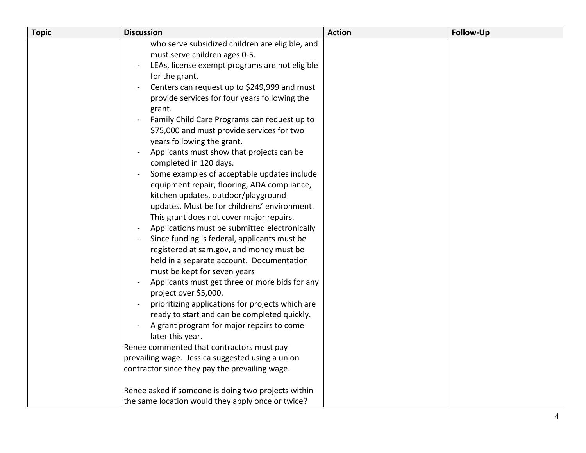| <b>Topic</b> | <b>Discussion</b>                                             | <b>Action</b> | <b>Follow-Up</b> |
|--------------|---------------------------------------------------------------|---------------|------------------|
|              | who serve subsidized children are eligible, and               |               |                  |
|              | must serve children ages 0-5.                                 |               |                  |
|              | LEAs, license exempt programs are not eligible                |               |                  |
|              | for the grant.                                                |               |                  |
|              | Centers can request up to \$249,999 and must                  |               |                  |
|              | provide services for four years following the                 |               |                  |
|              | grant.                                                        |               |                  |
|              | Family Child Care Programs can request up to                  |               |                  |
|              | \$75,000 and must provide services for two                    |               |                  |
|              | years following the grant.                                    |               |                  |
|              | Applicants must show that projects can be                     |               |                  |
|              | completed in 120 days.                                        |               |                  |
|              | Some examples of acceptable updates include                   |               |                  |
|              | equipment repair, flooring, ADA compliance,                   |               |                  |
|              | kitchen updates, outdoor/playground                           |               |                  |
|              | updates. Must be for childrens' environment.                  |               |                  |
|              | This grant does not cover major repairs.                      |               |                  |
|              | Applications must be submitted electronically                 |               |                  |
|              | Since funding is federal, applicants must be                  |               |                  |
|              | registered at sam.gov, and money must be                      |               |                  |
|              | held in a separate account. Documentation                     |               |                  |
|              | must be kept for seven years                                  |               |                  |
|              | Applicants must get three or more bids for any                |               |                  |
|              | project over \$5,000.                                         |               |                  |
|              | prioritizing applications for projects which are              |               |                  |
|              | ready to start and can be completed quickly.                  |               |                  |
|              | A grant program for major repairs to come<br>later this year. |               |                  |
|              | Renee commented that contractors must pay                     |               |                  |
|              | prevailing wage. Jessica suggested using a union              |               |                  |
|              | contractor since they pay the prevailing wage.                |               |                  |
|              |                                                               |               |                  |
|              | Renee asked if someone is doing two projects within           |               |                  |
|              | the same location would they apply once or twice?             |               |                  |
|              |                                                               |               |                  |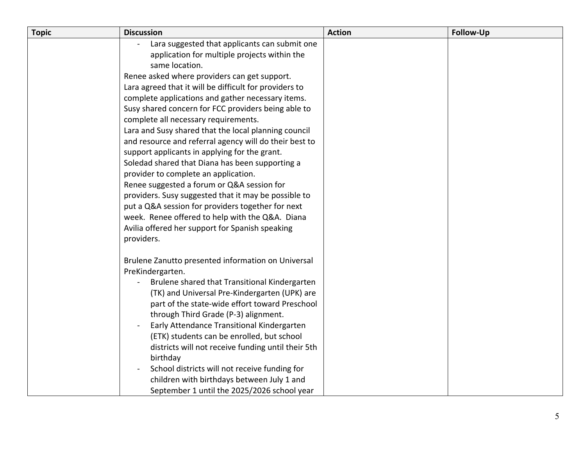| <b>Topic</b> | <b>Discussion</b>                                      | <b>Action</b> | <b>Follow-Up</b> |
|--------------|--------------------------------------------------------|---------------|------------------|
|              | Lara suggested that applicants can submit one          |               |                  |
|              | application for multiple projects within the           |               |                  |
|              | same location.                                         |               |                  |
|              | Renee asked where providers can get support.           |               |                  |
|              | Lara agreed that it will be difficult for providers to |               |                  |
|              | complete applications and gather necessary items.      |               |                  |
|              | Susy shared concern for FCC providers being able to    |               |                  |
|              | complete all necessary requirements.                   |               |                  |
|              | Lara and Susy shared that the local planning council   |               |                  |
|              | and resource and referral agency will do their best to |               |                  |
|              | support applicants in applying for the grant.          |               |                  |
|              | Soledad shared that Diana has been supporting a        |               |                  |
|              | provider to complete an application.                   |               |                  |
|              | Renee suggested a forum or Q&A session for             |               |                  |
|              | providers. Susy suggested that it may be possible to   |               |                  |
|              | put a Q&A session for providers together for next      |               |                  |
|              | week. Renee offered to help with the Q&A. Diana        |               |                  |
|              | Avilia offered her support for Spanish speaking        |               |                  |
|              | providers.                                             |               |                  |
|              | Brulene Zanutto presented information on Universal     |               |                  |
|              | PreKindergarten.                                       |               |                  |
|              | Brulene shared that Transitional Kindergarten          |               |                  |
|              | (TK) and Universal Pre-Kindergarten (UPK) are          |               |                  |
|              | part of the state-wide effort toward Preschool         |               |                  |
|              | through Third Grade (P-3) alignment.                   |               |                  |
|              | Early Attendance Transitional Kindergarten             |               |                  |
|              | (ETK) students can be enrolled, but school             |               |                  |
|              | districts will not receive funding until their 5th     |               |                  |
|              | birthday                                               |               |                  |
|              | School districts will not receive funding for          |               |                  |
|              | children with birthdays between July 1 and             |               |                  |
|              | September 1 until the 2025/2026 school year            |               |                  |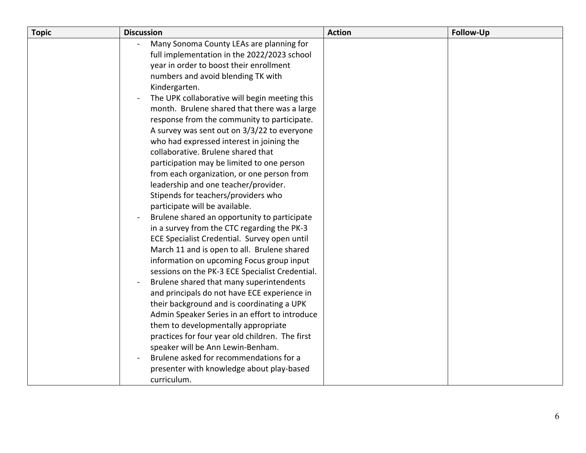| <b>Topic</b> | <b>Discussion</b>                               | <b>Action</b> | <b>Follow-Up</b> |
|--------------|-------------------------------------------------|---------------|------------------|
|              | Many Sonoma County LEAs are planning for        |               |                  |
|              | full implementation in the 2022/2023 school     |               |                  |
|              | year in order to boost their enrollment         |               |                  |
|              | numbers and avoid blending TK with              |               |                  |
|              | Kindergarten.                                   |               |                  |
|              | The UPK collaborative will begin meeting this   |               |                  |
|              | month. Brulene shared that there was a large    |               |                  |
|              | response from the community to participate.     |               |                  |
|              | A survey was sent out on 3/3/22 to everyone     |               |                  |
|              | who had expressed interest in joining the       |               |                  |
|              | collaborative. Brulene shared that              |               |                  |
|              | participation may be limited to one person      |               |                  |
|              | from each organization, or one person from      |               |                  |
|              | leadership and one teacher/provider.            |               |                  |
|              | Stipends for teachers/providers who             |               |                  |
|              | participate will be available.                  |               |                  |
|              | Brulene shared an opportunity to participate    |               |                  |
|              | in a survey from the CTC regarding the PK-3     |               |                  |
|              | ECE Specialist Credential. Survey open until    |               |                  |
|              | March 11 and is open to all. Brulene shared     |               |                  |
|              | information on upcoming Focus group input       |               |                  |
|              | sessions on the PK-3 ECE Specialist Credential. |               |                  |
|              | Brulene shared that many superintendents        |               |                  |
|              | and principals do not have ECE experience in    |               |                  |
|              | their background and is coordinating a UPK      |               |                  |
|              | Admin Speaker Series in an effort to introduce  |               |                  |
|              | them to developmentally appropriate             |               |                  |
|              | practices for four year old children. The first |               |                  |
|              | speaker will be Ann Lewin-Benham.               |               |                  |
|              | Brulene asked for recommendations for a         |               |                  |
|              | presenter with knowledge about play-based       |               |                  |
|              | curriculum.                                     |               |                  |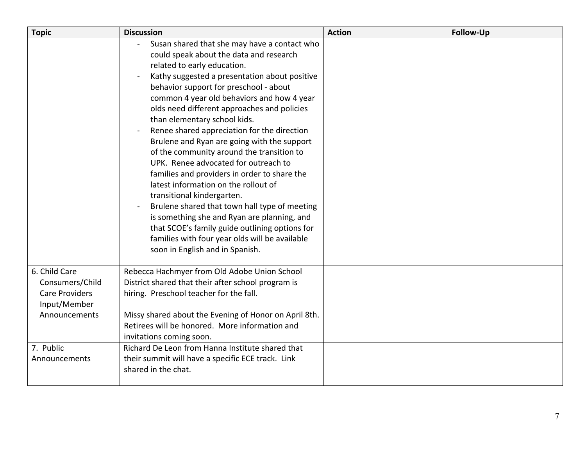| <b>Topic</b>                                                                                                             | <b>Discussion</b>                                                                                                                                                                                                                                                                                                                                                                                                                                                                                                                                                                                                                                                                                                                                                                                                                                                                              | <b>Action</b> | <b>Follow-Up</b> |
|--------------------------------------------------------------------------------------------------------------------------|------------------------------------------------------------------------------------------------------------------------------------------------------------------------------------------------------------------------------------------------------------------------------------------------------------------------------------------------------------------------------------------------------------------------------------------------------------------------------------------------------------------------------------------------------------------------------------------------------------------------------------------------------------------------------------------------------------------------------------------------------------------------------------------------------------------------------------------------------------------------------------------------|---------------|------------------|
|                                                                                                                          | Susan shared that she may have a contact who<br>could speak about the data and research<br>related to early education.<br>Kathy suggested a presentation about positive<br>behavior support for preschool - about<br>common 4 year old behaviors and how 4 year<br>olds need different approaches and policies<br>than elementary school kids.<br>Renee shared appreciation for the direction<br>Brulene and Ryan are going with the support<br>of the community around the transition to<br>UPK. Renee advocated for outreach to<br>families and providers in order to share the<br>latest information on the rollout of<br>transitional kindergarten.<br>Brulene shared that town hall type of meeting<br>is something she and Ryan are planning, and<br>that SCOE's family guide outlining options for<br>families with four year olds will be available<br>soon in English and in Spanish. |               |                  |
| 6. Child Care<br>Consumers/Child<br><b>Care Providers</b><br>Input/Member<br>Announcements<br>7. Public<br>Announcements | Rebecca Hachmyer from Old Adobe Union School<br>District shared that their after school program is<br>hiring. Preschool teacher for the fall.<br>Missy shared about the Evening of Honor on April 8th.<br>Retirees will be honored. More information and<br>invitations coming soon.<br>Richard De Leon from Hanna Institute shared that<br>their summit will have a specific ECE track. Link<br>shared in the chat.                                                                                                                                                                                                                                                                                                                                                                                                                                                                           |               |                  |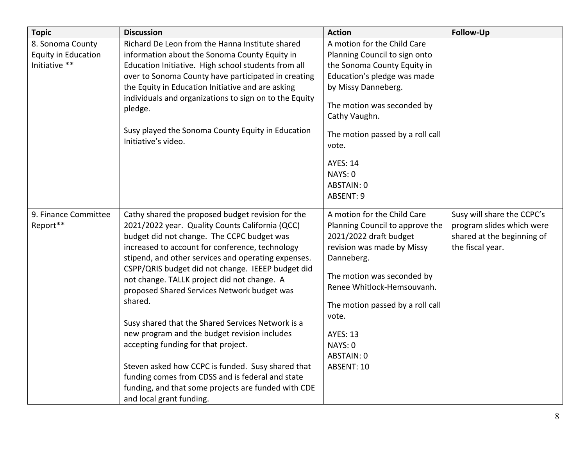| <b>Topic</b>                                                    | <b>Discussion</b>                                                                                                                                                                                                                                                                                                                                                                                                                                                                                                                                                                                                                                                                                                                                                  | <b>Action</b>                                                                                                                                                                                                                                                                                           | <b>Follow-Up</b>                                                                                          |
|-----------------------------------------------------------------|--------------------------------------------------------------------------------------------------------------------------------------------------------------------------------------------------------------------------------------------------------------------------------------------------------------------------------------------------------------------------------------------------------------------------------------------------------------------------------------------------------------------------------------------------------------------------------------------------------------------------------------------------------------------------------------------------------------------------------------------------------------------|---------------------------------------------------------------------------------------------------------------------------------------------------------------------------------------------------------------------------------------------------------------------------------------------------------|-----------------------------------------------------------------------------------------------------------|
| 8. Sonoma County<br><b>Equity in Education</b><br>Initiative ** | Richard De Leon from the Hanna Institute shared<br>information about the Sonoma County Equity in<br>Education Initiative. High school students from all<br>over to Sonoma County have participated in creating<br>the Equity in Education Initiative and are asking<br>individuals and organizations to sign on to the Equity<br>pledge.<br>Susy played the Sonoma County Equity in Education<br>Initiative's video.                                                                                                                                                                                                                                                                                                                                               | A motion for the Child Care<br>Planning Council to sign onto<br>the Sonoma County Equity in<br>Education's pledge was made<br>by Missy Danneberg.<br>The motion was seconded by<br>Cathy Vaughn.<br>The motion passed by a roll call<br>vote.<br><b>AYES: 14</b><br>NAYS: 0<br>ABSTAIN: 0<br>ABSENT: 9  |                                                                                                           |
| 9. Finance Committee<br>Report**                                | Cathy shared the proposed budget revision for the<br>2021/2022 year. Quality Counts California (QCC)<br>budget did not change. The CCPC budget was<br>increased to account for conference, technology<br>stipend, and other services and operating expenses.<br>CSPP/QRIS budget did not change. IEEEP budget did<br>not change. TALLK project did not change. A<br>proposed Shared Services Network budget was<br>shared.<br>Susy shared that the Shared Services Network is a<br>new program and the budget revision includes<br>accepting funding for that project.<br>Steven asked how CCPC is funded. Susy shared that<br>funding comes from CDSS and is federal and state<br>funding, and that some projects are funded with CDE<br>and local grant funding. | A motion for the Child Care<br>Planning Council to approve the<br>2021/2022 draft budget<br>revision was made by Missy<br>Danneberg.<br>The motion was seconded by<br>Renee Whitlock-Hemsouvanh.<br>The motion passed by a roll call<br>vote.<br><b>AYES: 13</b><br>NAYS: 0<br>ABSTAIN: 0<br>ABSENT: 10 | Susy will share the CCPC's<br>program slides which were<br>shared at the beginning of<br>the fiscal year. |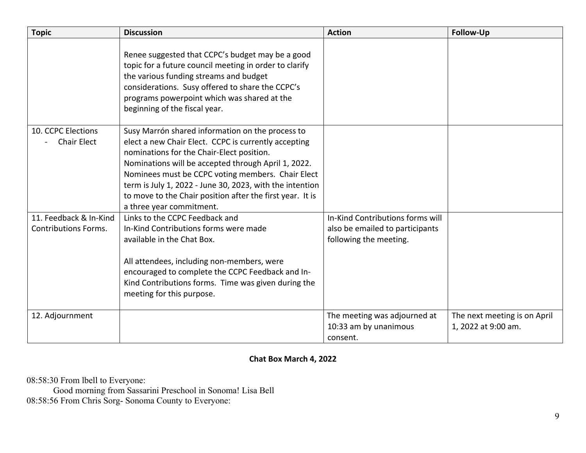| <b>Topic</b>                                          | <b>Discussion</b>                                                                                                                                                                                                                                                                                                                                                                                                      | <b>Action</b>                                                                                 | <b>Follow-Up</b>                                    |
|-------------------------------------------------------|------------------------------------------------------------------------------------------------------------------------------------------------------------------------------------------------------------------------------------------------------------------------------------------------------------------------------------------------------------------------------------------------------------------------|-----------------------------------------------------------------------------------------------|-----------------------------------------------------|
|                                                       | Renee suggested that CCPC's budget may be a good<br>topic for a future council meeting in order to clarify<br>the various funding streams and budget<br>considerations. Susy offered to share the CCPC's<br>programs powerpoint which was shared at the<br>beginning of the fiscal year.                                                                                                                               |                                                                                               |                                                     |
| 10. CCPC Elections<br><b>Chair Elect</b>              | Susy Marrón shared information on the process to<br>elect a new Chair Elect. CCPC is currently accepting<br>nominations for the Chair-Elect position.<br>Nominations will be accepted through April 1, 2022.<br>Nominees must be CCPC voting members. Chair Elect<br>term is July 1, 2022 - June 30, 2023, with the intention<br>to move to the Chair position after the first year. It is<br>a three year commitment. |                                                                                               |                                                     |
| 11. Feedback & In-Kind<br><b>Contributions Forms.</b> | Links to the CCPC Feedback and<br>In-Kind Contributions forms were made<br>available in the Chat Box.<br>All attendees, including non-members, were<br>encouraged to complete the CCPC Feedback and In-<br>Kind Contributions forms. Time was given during the<br>meeting for this purpose.                                                                                                                            | In-Kind Contributions forms will<br>also be emailed to participants<br>following the meeting. |                                                     |
| 12. Adjournment                                       |                                                                                                                                                                                                                                                                                                                                                                                                                        | The meeting was adjourned at<br>10:33 am by unanimous<br>consent.                             | The next meeting is on April<br>1, 2022 at 9:00 am. |

## **Chat Box March 4, 2022**

08:58:30 From lbell to Everyone:

Good morning from Sassarini Preschool in Sonoma! Lisa Bell 08:58:56 From Chris Sorg- Sonoma County to Everyone: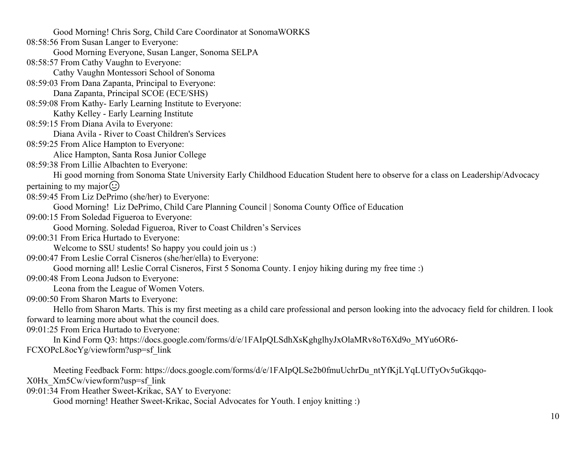Good Morning. Soledad Figueroa, River to Coast Children's Services Leona from the League of Women Voters. Good Morning! Chris Sorg, Child Care Coordinator at SonomaWORKS 08:58:56 From Susan Langer to Everyone: Good Morning Everyone, Susan Langer, Sonoma SELPA 08:58:57 From Cathy Vaughn to Everyone: Cathy Vaughn Montessori School of Sonoma 08:59:03 From Dana Zapanta, Principal to Everyone: Dana Zapanta, Principal SCOE (ECE/SHS) 08:59:08 From Kathy- Early Learning Institute to Everyone: Kathy Kelley - Early Learning Institute 08:59:15 From Diana Avila to Everyone: Diana Avila - River to Coast Children's Services 08:59:25 From Alice Hampton to Everyone: Alice Hampton, Santa Rosa Junior College 08:59:38 From Lillie Albachten to Everyone: Hi good morning from Sonoma State University Early Childhood Education Student here to observe for a class on Leadership/Advocacy pertaining to my major $\odot$ 08:59:45 From Liz DePrimo (she/her) to Everyone: Good Morning! Liz DePrimo, Child Care Planning Council | Sonoma County Office of Education 09:00:15 From Soledad Figueroa to Everyone: 09:00:31 From Erica Hurtado to Everyone: Welcome to SSU students! So happy you could join us :) 09:00:47 From Leslie Corral Cisneros (she/her/ella) to Everyone: Good morning all! Leslie Corral Cisneros, First 5 Sonoma County. I enjoy hiking during my free time :) 09:00:48 From Leona Judson to Everyone: 09:00:50 From Sharon Marts to Everyone: Hello from Sharon Marts. This is my first meeting as a child care professional and person looking into the advocacy field for children. I look forward to learning more about what the council does. 09:01:25 From Erica Hurtado to Everyone: In Kind Form Q3: [https://docs.google.com/forms/d/e/1FAIpQLSdhXsKghglhyJxOlaMRv8oT6Xd9o\\_MYu6OR6](https://docs.google.com/forms/d/e/1FAIpQLSdhXsKghglhyJxOlaMRv8oT6Xd9o_MYu6OR6)- FCXOPcL8ocYg/viewform?usp=sf\_link Meeting Feedback Form: [https://docs.google.com/forms/d/e/1FAIpQLSe2b0fmuUchrDu\\_ntYfKjLYqLUfTyOv5uGkqqo](https://docs.google.com/forms/d/e/1FAIpQLSe2b0fmuUchrDu_ntYfKjLYqLUfTyOv5uGkqqo)-

X0Hx\_Xm5Cw/viewform?usp=sf\_link

09:01:34 From Heather Sweet-Krikac, SAY to Everyone:

Good morning! Heather Sweet-Krikac, Social Advocates for Youth. I enjoy knitting :)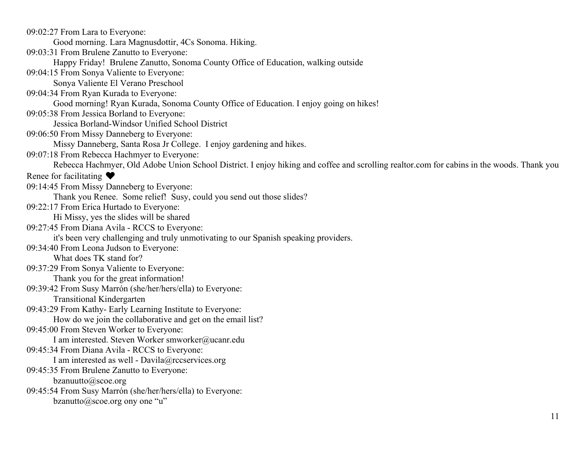Rebecca Hachmyer, Old Adobe Union School District. I enjoy hiking and coffee and scrolling [realtor.com](https://realtor.com) for cabins in the woods. Thank you How do we join the collaborative and get on the email list? 09:02:27 From Lara to Everyone: Good morning. Lara Magnusdottir, 4Cs Sonoma. Hiking. 09:03:31 From Brulene Zanutto to Everyone: Happy Friday! Brulene Zanutto, Sonoma County Office of Education, walking outside 09:04:15 From Sonya Valiente to Everyone: Sonya Valiente El Verano Preschool 09:04:34 From Ryan Kurada to Everyone: Good morning! Ryan Kurada, Sonoma County Office of Education. I enjoy going on hikes! 09:05:38 From Jessica Borland to Everyone: Jessica Borland-Windsor Unified School District 09:06:50 From Missy Danneberg to Everyone: Missy Danneberg, Santa Rosa Jr College. I enjoy gardening and hikes. 09:07:18 From Rebecca Hachmyer to Everyone: Renee for facilitating  $\blacktriangledown$ 09:14:45 From Missy Danneberg to Everyone: Thank you Renee. Some relief! Susy, could you send out those slides? 09:22:17 From Erica Hurtado to Everyone: Hi Missy, yes the slides will be shared 09:27:45 From Diana Avila - RCCS to Everyone: it's been very challenging and truly unmotivating to our Spanish speaking providers. 09:34:40 From Leona Judson to Everyone: What does TK stand for? 09:37:29 From Sonya Valiente to Everyone: Thank you for the great information! 09:39:42 From Susy Marrón (she/her/hers/ella) to Everyone: Transitional Kindergarten 09:43:29 From Kathy- Early Learning Institute to Everyone: 09:45:00 From Steven Worker to Everyone: I am interested. Steven Worker [smworker@ucanr.edu](mailto:smworker@ucanr.edu)  09:45:34 From Diana Avila - RCCS to Everyone: I am interested as well - [Davila@rccservices.org](mailto:Davila@rccservices.org) 09:45:35 From Brulene Zanutto to Everyone: [bzanuutto@scoe.org](mailto:bzanuutto@scoe.org)  09:45:54 From Susy Marrón (she/her/hers/ella) to Everyone: [bzanutto@scoe.org](mailto:bzanutto@scoe.org) ony one "u"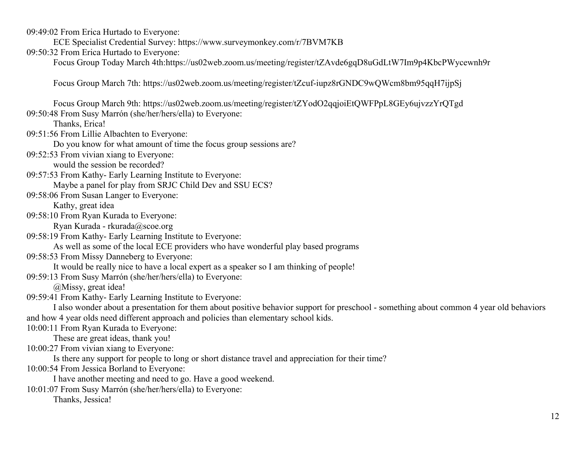09:49:02 From Erica Hurtado to Everyone:

ECE Specialist Credential Survey: <https://www.surveymonkey.com/r/7BVM7KB>

09:50:32 From Erica Hurtado to Everyone:

Focus Group Today March 4th:https://us02web.zoom.us/meeting/register/tZAvde6gqD8uGdLtW7Im9p4KbcPWycewnh9r

Focus Group March 7th:<https://us02web.zoom.us/meeting/register/tZcuf-iupz8rGNDC9wQWcm8bm95qqH7ijpSj>

Focus Group March 9th:<https://us02web.zoom.us/meeting/register/tZYodO2qqjoiEtQWFPpL8GEy6ujvzzYrQTgd> 09:50:48 From Susy Marrón (she/her/hers/ella) to Everyone:

Thanks, Erica!

09:51:56 From Lillie Albachten to Everyone:

Do you know for what amount of time the focus group sessions are?

09:52:53 From vivian xiang to Everyone:

would the session be recorded?

09:57:53 From Kathy- Early Learning Institute to Everyone:

Maybe a panel for play from SRJC Child Dev and SSU ECS?

09:58:06 From Susan Langer to Everyone:

Kathy, great idea

09:58:10 From Ryan Kurada to Everyone:

Ryan Kurada - [rkurada@scoe.org](mailto:rkurada@scoe.org) 

09:58:19 From Kathy- Early Learning Institute to Everyone:

As well as some of the local ECE providers who have wonderful play based programs

09:58:53 From Missy Danneberg to Everyone:

It would be really nice to have a local expert as a speaker so I am thinking of people!

09:59:13 From Susy Marrón (she/her/hers/ella) to Everyone:

@Missy, great idea!

09:59:41 From Kathy- Early Learning Institute to Everyone:

I also wonder about a presentation for them about positive behavior support for preschool - something about common 4 year old behaviors and how 4 year olds need different approach and policies than elementary school kids.

10:00:11 From Ryan Kurada to Everyone:

These are great ideas, thank you!

10:00:27 From vivian xiang to Everyone:

Is there any support for people to long or short distance travel and appreciation for their time?

10:00:54 From Jessica Borland to Everyone:

I have another meeting and need to go. Have a good weekend.

10:01:07 From Susy Marrón (she/her/hers/ella) to Everyone:

Thanks, Jessica!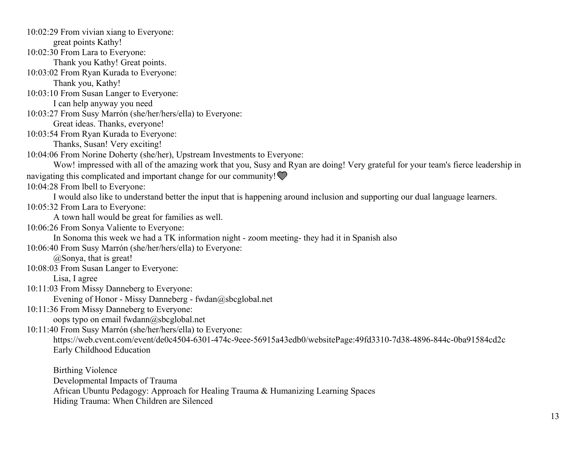10:02:29 From vivian xiang to Everyone: great points Kathy! 10:02:30 From Lara to Everyone: Thank you Kathy! Great points. 10:03:02 From Ryan Kurada to Everyone: Thank you, Kathy! 10:03:10 From Susan Langer to Everyone: I can help anyway you need 10:03:27 From Susy Marrón (she/her/hers/ella) to Everyone: Great ideas. Thanks, everyone! 10:03:54 From Ryan Kurada to Everyone: Thanks, Susan! Very exciting! 10:04:06 From Norine Doherty (she/her), Upstream Investments to Everyone: Wow! impressed with all of the amazing work that you, Susy and Ryan are doing! Very grateful for your team's fierce leadership in navigating this complicated and important change for our community! 10:04:28 From lbell to Everyone: I would also like to understand better the input that is happening around inclusion and supporting our dual language learners. 10:05:32 From Lara to Everyone: A town hall would be great for families as well. 10:06:26 From Sonya Valiente to Everyone: In Sonoma this week we had a TK information night - zoom meeting- they had it in Spanish also 10:06:40 From Susy Marrón (she/her/hers/ella) to Everyone: @Sonya, that is great! 10:08:03 From Susan Langer to Everyone: Lisa, I agree 10:11:03 From Missy Danneberg to Everyone: Evening of Honor - Missy Danneberg - [fwdan@sbcglobal.net](mailto:fwdan@sbcglobal.net) 10:11:36 From Missy Danneberg to Everyone: oops typo on email [fwdann@sbcglobal.net](mailto:fwdann@sbcglobal.net) 10:11:40 From Susy Marrón (she/her/hers/ella) to Everyone: <https://web.cvent.com/event/de0c4504-6301-474c-9eee-56915a43edb0/websitePage:49fd3310-7d38-4896-844c-0ba91584cd2c> Early Childhood Education Birthing Violence

Developmental Impacts of Trauma

African Ubuntu Pedagogy: Approach for Healing Trauma & Humanizing Learning Spaces

Hiding Trauma: When Children are Silenced